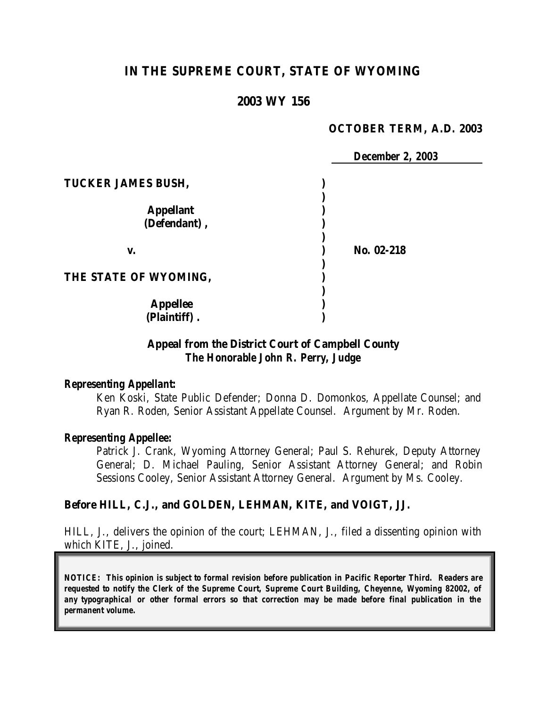# **IN THE SUPREME COURT, STATE OF WYOMING**

## **2003 WY 156**

#### **OCTOBER TERM, A.D. 2003**

|                           | <b>December 2, 2003</b> |
|---------------------------|-------------------------|
| <b>TUCKER JAMES BUSH,</b> |                         |
|                           |                         |
| <b>Appellant</b>          |                         |
| (Defendant),              |                         |
| V.                        | No. 02-218              |
| THE STATE OF WYOMING,     |                         |
| <b>Appellee</b>           |                         |
| (Plaintiff).              |                         |

## **Appeal from the District Court of Campbell County** *The Honorable John R. Perry, Judge*

#### *Representing Appellant:*

Ken Koski, State Public Defender; Donna D. Domonkos, Appellate Counsel; and Ryan R. Roden, Senior Assistant Appellate Counsel. Argument by Mr. Roden.

#### *Representing Appellee:*

Patrick J. Crank, Wyoming Attorney General; Paul S. Rehurek, Deputy Attorney General; D. Michael Pauling, Senior Assistant Attorney General; and Robin Sessions Cooley, Senior Assistant Attorney General. Argument by Ms. Cooley.

#### **Before HILL, C.J., and GOLDEN, LEHMAN, KITE, and VOIGT, JJ.**

HILL, J., delivers the opinion of the court; LEHMAN, J., filed a dissenting opinion with which KITE, J., joined.

*NOTICE: This opinion is subject to formal revision before publication in Pacific Reporter Third. Readers are requested to notify the Clerk of the Supreme Court, Supreme Court Building, Cheyenne, Wyoming 82002, of any typographical or other formal errors so that correction may be made before final publication in the permanent volume.*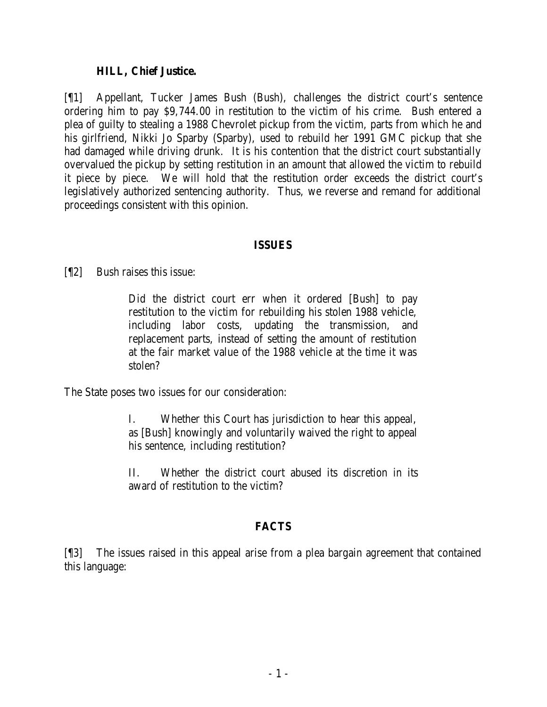#### **HILL, Chief Justice.**

[¶1] Appellant, Tucker James Bush (Bush), challenges the district court's sentence ordering him to pay \$9,744.00 in restitution to the victim of his crime. Bush entered a plea of guilty to stealing a 1988 Chevrolet pickup from the victim, parts from which he and his girlfriend, Nikki Jo Sparby (Sparby), used to rebuild her 1991 GMC pickup that she had damaged while driving drunk. It is his contention that the district court substantially overvalued the pickup by setting restitution in an amount that allowed the victim to rebuild it piece by piece. We will hold that the restitution order exceeds the district court's legislatively authorized sentencing authority. Thus, we reverse and remand for additional proceedings consistent with this opinion.

### **ISSUES**

[¶2] Bush raises this issue:

Did the district court err when it ordered [Bush] to pay restitution to the victim for rebuilding his stolen 1988 vehicle, including labor costs, updating the transmission, and replacement parts, instead of setting the amount of restitution at the fair market value of the 1988 vehicle at the time it was stolen?

The State poses two issues for our consideration:

I. Whether this Court has jurisdiction to hear this appeal, as [Bush] knowingly and voluntarily waived the right to appeal his sentence, including restitution?

II. Whether the district court abused its discretion in its award of restitution to the victim?

## **FACTS**

[¶3] The issues raised in this appeal arise from a plea bargain agreement that contained this language: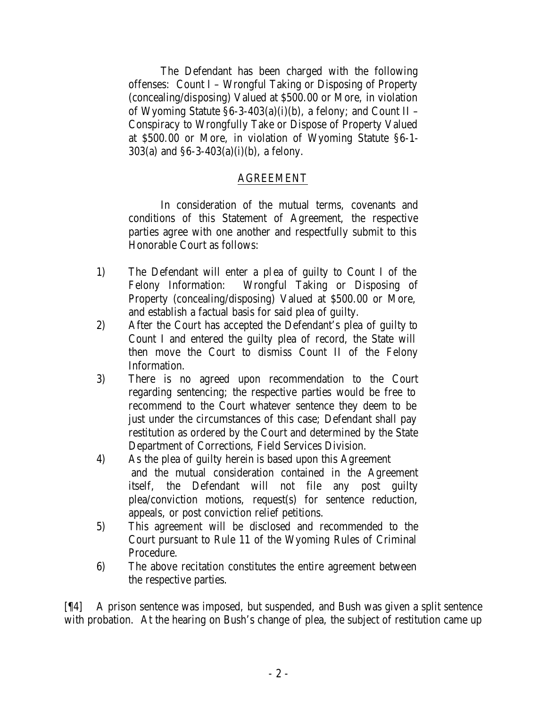The Defendant has been charged with the following offenses: Count I – Wrongful Taking or Disposing of Property (concealing/disposing) Valued at \$500.00 or More, in violation of Wyoming Statute  $\S6-3-403(a)(i)(b)$ , a felony; and Count II – Conspiracy to Wrongfully Take or Dispose of Property Valued at \$500.00 or More, in violation of Wyoming Statute §6-1- 303(a) and  $\S6-3-403(a)(i)(b)$ , a felony.

## AGREEMENT

In consideration of the mutual terms, covenants and conditions of this Statement of Agreement, the respective parties agree with one another and respectfully submit to this Honorable Court as follows:

- 1) The Defendant will enter a plea of guilty to Count I of the Felony Information: Wrongful Taking or Disposing of Property (concealing/disposing) Valued at \$500.00 or More, and establish a factual basis for said plea of guilty.
- 2) After the Court has accepted the Defendant's plea of guilty to Count I and entered the guilty plea of record, the State will then move the Court to dismiss Count II of the Felony Information.
- 3) There is no agreed upon recommendation to the Court regarding sentencing; the respective parties would be free to recommend to the Court whatever sentence they deem to be just under the circumstances of this case; Defendant shall pay restitution as ordered by the Court and determined by the State Department of Corrections, Field Services Division.
- 4) As the plea of guilty herein is based upon this Agreement and the mutual consideration contained in the Agreement itself, the Defendant will not file any post guilty plea/conviction motions, request(s) for sentence reduction, appeals, or post conviction relief petitions.
- 5) This agreement will be disclosed and recommended to the Court pursuant to Rule 11 of the Wyoming Rules of Criminal Procedure.
- 6) The above recitation constitutes the entire agreement between the respective parties.

[¶4] A prison sentence was imposed, but suspended, and Bush was given a split sentence with probation. At the hearing on Bush's change of plea, the subject of restitution came up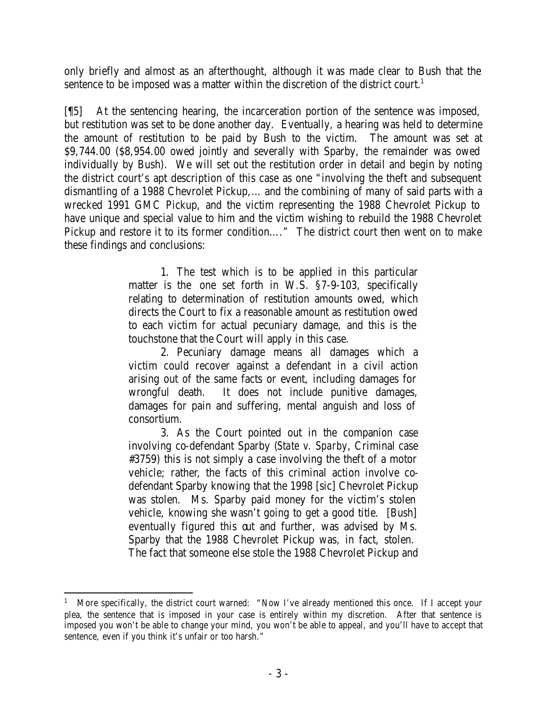only briefly and almost as an afterthought, although it was made clear to Bush that the sentence to be imposed was a matter within the discretion of the district court.<sup>1</sup>

[¶5] At the sentencing hearing, the incarceration portion of the sentence was imposed, but restitution was set to be done another day. Eventually, a hearing was held to determine the amount of restitution to be paid by Bush to the victim. The amount was set at \$9,744.00 (\$8,954.00 owed jointly and severally with Sparby, the remainder was owed individually by Bush). We will set out the restitution order in detail and begin by noting the district court's apt description of this case as one "involving the theft and subsequent dismantling of a 1988 Chevrolet Pickup,… and the combining of many of said parts with a wrecked 1991 GMC Pickup, and the victim representing the 1988 Chevrolet Pickup to have unique and special value to him and the victim wishing to rebuild the 1988 Chevrolet Pickup and restore it to its former condition...." The district court then went on to make these findings and conclusions:

> 1. The test which is to be applied in this particular matter is the one set forth in W.S. §7-9-103, specifically relating to determination of restitution amounts owed, which directs the Court to fix a reasonable amount as restitution owed to each victim for actual pecuniary damage, and this is the touchstone that the Court will apply in this case.

> 2. Pecuniary damage means all damages which a victim could recover against a defendant in a civil action arising out of the same facts or event, including damages for wrongful death. It does not include punitive damages, damages for pain and suffering, mental anguish and loss of consortium.

> 3. As the Court pointed out in the companion case involving co-defendant Sparby (*State v. Sparby*, Criminal case #3759) this is not simply a case involving the theft of a motor vehicle; rather, the facts of this criminal action involve codefendant Sparby knowing that the 1998 [sic] Chevrolet Pickup was stolen. Ms. Sparby paid money for the victim's stolen vehicle, knowing she wasn't going to get a good title. [Bush] eventually figured this out and further, was advised by Ms. Sparby that the 1988 Chevrolet Pickup was, in fact, stolen. The fact that someone else stole the 1988 Chevrolet Pickup and

<sup>1</sup> More specifically, the district court warned: "Now I've already mentioned this once. If I accept your plea, the sentence that is imposed in your case is entirely within my discretion. After that sentence is imposed you won't be able to change your mind, you won't be able to appeal, and you'll have to accept that sentence, even if you think it's unfair or too harsh."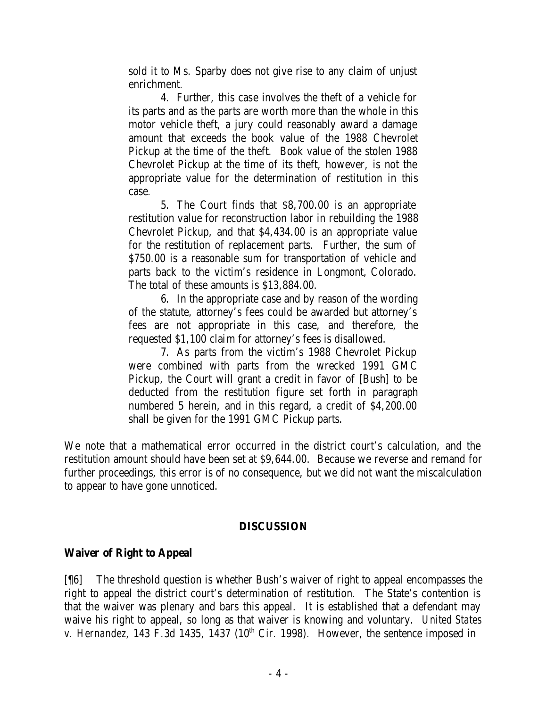sold it to Ms. Sparby does not give rise to any claim of unjust enrichment.

4. Further, this case involves the theft of a vehicle for its parts and as the parts are worth more than the whole in this motor vehicle theft, a jury could reasonably award a damage amount that exceeds the book value of the 1988 Chevrolet Pickup at the time of the theft. Book value of the stolen 1988 Chevrolet Pickup at the time of its theft, however, is not the appropriate value for the determination of restitution in this case.

5. The Court finds that \$8,700.00 is an appropriate restitution value for reconstruction labor in rebuilding the 1988 Chevrolet Pickup, and that \$4,434.00 is an appropriate value for the restitution of replacement parts. Further, the sum of \$750.00 is a reasonable sum for transportation of vehicle and parts back to the victim's residence in Longmont, Colorado. The total of these amounts is \$13,884.00.

6. In the appropriate case and by reason of the wording of the statute, attorney's fees could be awarded but attorney's fees are not appropriate in this case, and therefore, the requested \$1,100 claim for attorney's fees is disallowed.

7. As parts from the victim's 1988 Chevrolet Pickup were combined with parts from the wrecked 1991 GMC Pickup, the Court will grant a credit in favor of [Bush] to be deducted from the restitution figure set forth in paragraph numbered 5 herein, and in this regard, a credit of \$4,200.00 shall be given for the 1991 GMC Pickup parts.

We note that a mathematical error occurred in the district court's calculation, and the restitution amount should have been set at \$9,644.00. Because we reverse and remand for further proceedings, this error is of no consequence, but we did not want the miscalculation to appear to have gone unnoticed.

### **DISCUSSION**

## **Waiver of Right to Appeal**

[¶6] The threshold question is whether Bush's waiver of right to appeal encompasses the right to appeal the district court's determination of restitution. The State's contention is that the waiver was plenary and bars this appeal. It is established that a defendant may waive his right to appeal, so long as that waiver is knowing and voluntary. *United States v. Hernandez*, 143 F.3d 1435, 1437 ( $10<sup>th</sup>$  Cir. 1998). However, the sentence imposed in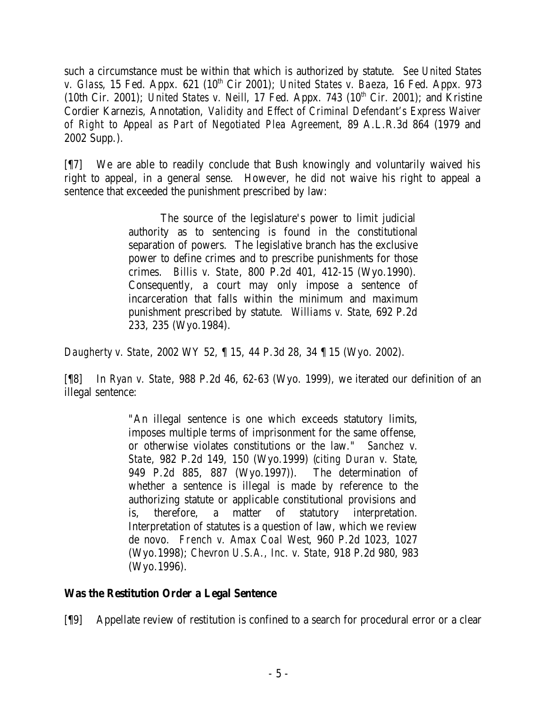such a circumstance must be within that which is authorized by statute. *See United States v. Glass*, 15 Fed. Appx. 621 (10<sup>th</sup> Cir 2001); *United States v. Baeza*, 16 Fed. Appx. 973 (10th Cir. 2001); *United States v. Neill*, 17 Fed. Appx. 743  $(10<sup>th</sup> Cir. 2001)$ ; and Kristine Cordier Karnezis, Annotation, *Validity and Effect of Criminal Defendant's Express Waiver of Right to Appeal as Part of Negotiated Plea Agreement*, 89 A.L.R.3d 864 (1979 and 2002 Supp.).

[¶7] We are able to readily conclude that Bush knowingly and voluntarily waived his right to appeal, in a general sense. However, he did not waive his right to appeal a sentence that exceeded the punishment prescribed by law:

> The source of the legislature's power to limit judicial authority as to sentencing is found in the constitutional separation of powers. The legislative branch has the exclusive power to define crimes and to prescribe punishments for those crimes. *Billis v. State*, 800 P.2d 401, 412-15 (Wyo.1990). Consequently, a court may only impose a sentence of incarceration that falls within the minimum and maximum punishment prescribed by statute. *Williams v. State*, 692 P.2d 233, 235 (Wyo.1984).

*Daugherty v. State*, 2002 WY 52, ¶ 15, 44 P.3d 28, 34 ¶ 15 (Wyo. 2002).

[¶8] In *Ryan v. State*, 988 P.2d 46, 62-63 (Wyo. 1999), we iterated our definition of an illegal sentence:

> "An illegal sentence is one which exceeds statutory limits, imposes multiple terms of imprisonment for the same offense, or otherwise violates constitutions or the law." *Sanchez v. State*, 982 P.2d 149, 150 (Wyo.1999) (*citing Duran v. State*, 949 P.2d 885, 887 (Wyo.1997)). The determination of whether a sentence is illegal is made by reference to the authorizing statute or applicable constitutional provisions and is, therefore, a matter of statutory interpretation. Interpretation of statutes is a question of law, which we review de novo. *French v. Amax Coal West*, 960 P.2d 1023, 1027 (Wyo.1998); *Chevron U.S.A., Inc. v. State*, 918 P.2d 980, 983 (Wyo.1996).

# **Was the Restitution Order a Legal Sentence**

[¶9] Appellate review of restitution is confined to a search for procedural error or a clear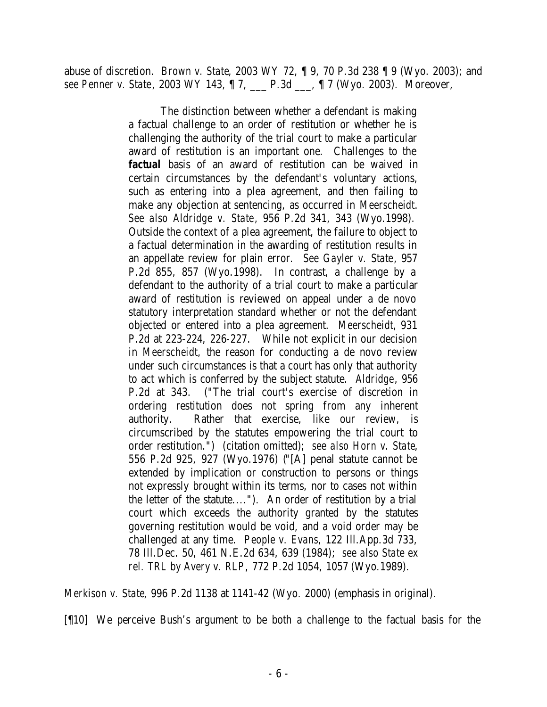abuse of discretion. *Brown v. State*, 2003 WY 72, ¶ 9, 70 P.3d 238 ¶ 9 (Wyo. 2003); and *see Penner v. State*, 2003 WY 143, ¶ 7, \_\_\_ P.3d \_\_\_, ¶ 7 (Wyo. 2003). Moreover,

> The distinction between whether a defendant is making a factual challenge to an order of restitution or whether he is challenging the authority of the trial court to make a particular award of restitution is an important one. Challenges to the *factual* basis of an award of restitution can be waived in certain circumstances by the defendant's voluntary actions, such as entering into a plea agreement, and then failing to make any objection at sentencing, as occurred in *Meerscheidt*. *See also Aldridge v. State*, 956 P.2d 341, 343 (Wyo.1998). Outside the context of a plea agreement, the failure to object to a factual determination in the awarding of restitution results in an appellate review for plain error. *See Gayler v. State*, 957 P.2d 855, 857 (Wyo.1998). In contrast, a challenge by a defendant to the authority of a trial court to make a particular award of restitution is reviewed on appeal under a de novo statutory interpretation standard whether or not the defendant objected or entered into a plea agreement. *Meerscheidt*, 931 P.2d at 223-224, 226-227. While not explicit in our decision in *Meerscheidt*, the reason for conducting a de novo review under such circumstances is that a court has only that authority to act which is conferred by the subject statute. *Aldridge*, 956 P.2d at 343. ("The trial court's exercise of discretion in ordering restitution does not spring from any inherent authority. Rather that exercise, like our review, is circumscribed by the statutes empowering the trial court to order restitution.") (citation omitted); *see also Horn v. State*, 556 P.2d 925, 927 (Wyo.1976) ("[A] penal statute cannot be extended by implication or construction to persons or things not expressly brought within its terms, nor to cases not within the letter of the statute...."). An order of restitution by a trial court which exceeds the authority granted by the statutes governing restitution would be void, and a void order may be challenged at any time. *People v. Evans*, 122 Ill.App.3d 733, 78 Ill.Dec. 50, 461 N.E.2d 634, 639 (1984); *see also State ex rel. TRL by Avery v. RLP*, 772 P.2d 1054, 1057 (Wyo.1989).

*Merkison v. State*, 996 P.2d 1138 at 1141-42 (Wyo. 2000) (emphasis in original).

[¶10] We perceive Bush's argument to be both a challenge to the factual basis for the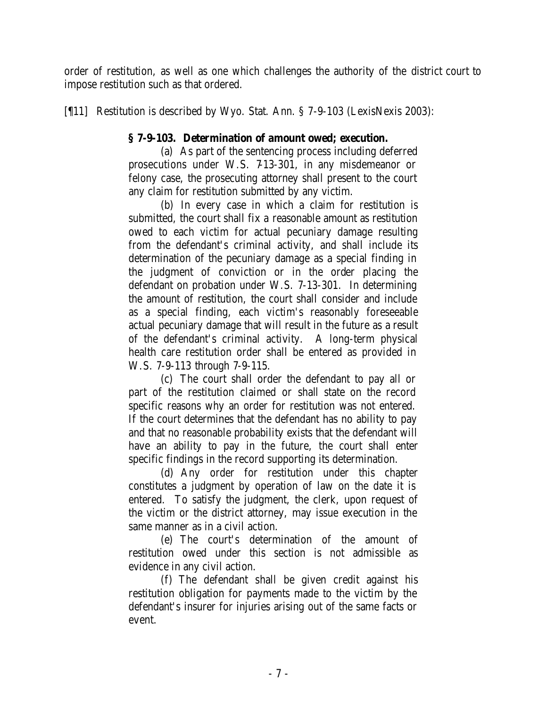order of restitution, as well as one which challenges the authority of the district court to impose restitution such as that ordered.

[¶11] Restitution is described by Wyo. Stat. Ann. § 7-9-103 (LexisNexis 2003):

# **§ 7-9-103. Determination of amount owed; execution.**

(a) As part of the sentencing process including deferred prosecutions under W.S. 7-13-301, in any misdemeanor or felony case, the prosecuting attorney shall present to the court any claim for restitution submitted by any victim.

(b) In every case in which a claim for restitution is submitted, the court shall fix a reasonable amount as restitution owed to each victim for actual pecuniary damage resulting from the defendant's criminal activity, and shall include its determination of the pecuniary damage as a special finding in the judgment of conviction or in the order placing the defendant on probation under W.S. 7-13-301. In determining the amount of restitution, the court shall consider and include as a special finding, each victim's reasonably foreseeable actual pecuniary damage that will result in the future as a result of the defendant's criminal activity. A long-term physical health care restitution order shall be entered as provided in W.S. 7-9-113 through 7-9-115.

(c) The court shall order the defendant to pay all or part of the restitution claimed or shall state on the record specific reasons why an order for restitution was not entered. If the court determines that the defendant has no ability to pay and that no reasonable probability exists that the defendant will have an ability to pay in the future, the court shall enter specific findings in the record supporting its determination.

(d) Any order for restitution under this chapter constitutes a judgment by operation of law on the date it is entered. To satisfy the judgment, the clerk, upon request of the victim or the district attorney, may issue execution in the same manner as in a civil action.

(e) The court's determination of the amount of restitution owed under this section is not admissible as evidence in any civil action.

(f) The defendant shall be given credit against his restitution obligation for payments made to the victim by the defendant's insurer for injuries arising out of the same facts or event.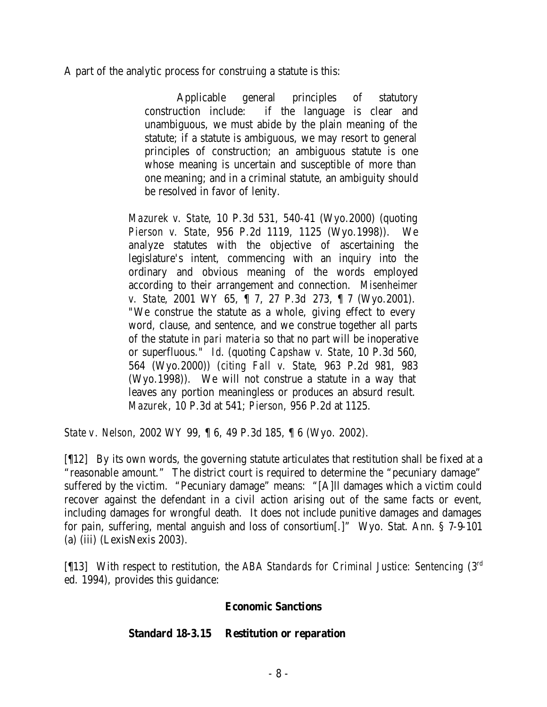A part of the analytic process for construing a statute is this:

Applicable general principles of statutory construction include: if the language is clear and unambiguous, we must abide by the plain meaning of the statute; if a statute is ambiguous, we may resort to general principles of construction; an ambiguous statute is one whose meaning is uncertain and susceptible of more than one meaning; and in a criminal statute, an ambiguity should be resolved in favor of lenity.

*Mazurek v. State*, 10 P.3d 531, 540-41 (Wyo.2000) (quoting *Pierson v. State*, 956 P.2d 1119, 1125 (Wyo.1998)). We analyze statutes with the objective of ascertaining the legislature's intent, commencing with an inquiry into the ordinary and obvious meaning of the words employed according to their arrangement and connection. *Misenheimer v. State*, 2001 WY 65, ¶ 7, 27 P.3d 273, ¶ 7 (Wyo.2001). "We construe the statute as a whole, giving effect to every word, clause, and sentence, and we construe together all parts of the statute in *pari materia* so that no part will be inoperative or superfluous." *Id*. (quoting *Capshaw v. State*, 10 P.3d 560, 564 (Wyo.2000)) (*citing Fall v. State*, 963 P.2d 981, 983 (Wyo.1998)). We will not construe a statute in a way that leaves any portion meaningless or produces an absurd result. *Mazurek*, 10 P.3d at 541; *Pierson*, 956 P.2d at 1125.

*State v. Nelson*, 2002 WY 99, ¶ 6, 49 P.3d 185, ¶ 6 (Wyo. 2002).

[¶12] By its own words, the governing statute articulates that restitution shall be fixed at a "reasonable amount." The district court is required to determine the "pecuniary damage" suffered by the victim. "Pecuniary damage" means: "[A]ll damages which a victim could recover against the defendant in a civil action arising out of the same facts or event, including damages for wrongful death. It does not include punitive damages and damages for pain, suffering, mental anguish and loss of consortium[.]" Wyo. Stat. Ann. § 7-9-101 (a) (iii) (LexisNexis 2003).

[¶13] With respect to restitution, the *ABA Standards for Criminal Justice: Sentencing* (3rd ed. 1994), provides this guidance:

## **Economic Sanctions**

### **Standard 18-3.15 Restitution or reparation**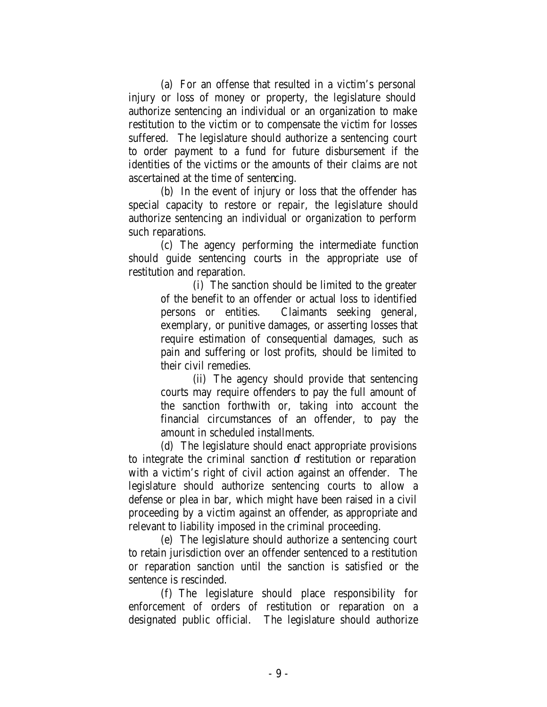(a) For an offense that resulted in a victim's personal injury or loss of money or property, the legislature should authorize sentencing an individual or an organization to make restitution to the victim or to compensate the victim for losses suffered. The legislature should authorize a sentencing court to order payment to a fund for future disbursement if the identities of the victims or the amounts of their claims are not ascertained at the time of sentencing.

(b) In the event of injury or loss that the offender has special capacity to restore or repair, the legislature should authorize sentencing an individual or organization to perform such reparations.

(c) The agency performing the intermediate function should guide sentencing courts in the appropriate use of restitution and reparation.

> (i) The sanction should be limited to the greater of the benefit to an offender or actual loss to identified persons or entities. Claimants seeking general, exemplary, or punitive damages, or asserting losses that require estimation of consequential damages, such as pain and suffering or lost profits, should be limited to their civil remedies.

> (ii) The agency should provide that sentencing courts may require offenders to pay the full amount of the sanction forthwith or, taking into account the financial circumstances of an offender, to pay the amount in scheduled installments.

(d) The legislature should enact appropriate provisions to integrate the criminal sanction of restitution or reparation with a victim's right of civil action against an offender. The legislature should authorize sentencing courts to allow a defense or plea in bar, which might have been raised in a civil proceeding by a victim against an offender, as appropriate and relevant to liability imposed in the criminal proceeding.

(e) The legislature should authorize a sentencing court to retain jurisdiction over an offender sentenced to a restitution or reparation sanction until the sanction is satisfied or the sentence is rescinded.

(f) The legislature should place responsibility for enforcement of orders of restitution or reparation on a designated public official. The legislature should authorize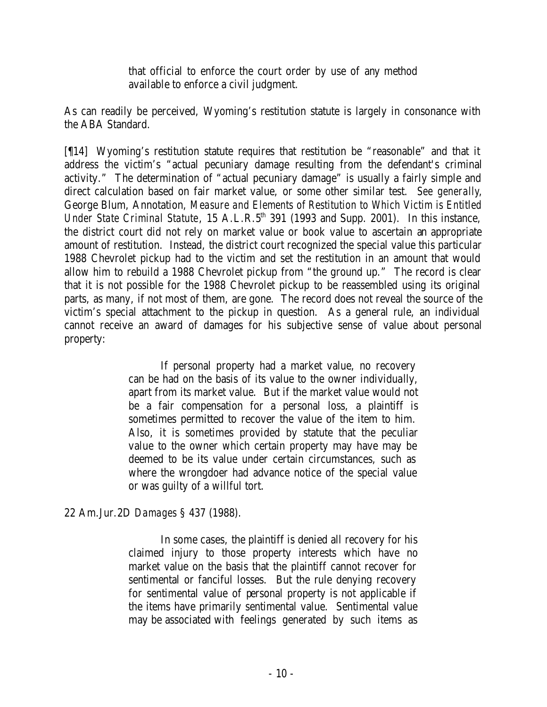that official to enforce the court order by use of any method available to enforce a civil judgment.

As can readily be perceived, Wyoming's restitution statute is largely in consonance with the ABA Standard.

[¶14] Wyoming's restitution statute requires that restitution be "reasonable" and that it address the victim's "actual pecuniary damage resulting from the defendant's criminal activity." The determination of "actual pecuniary damage" is usually a fairly simple and direct calculation based on fair market value, or some other similar test. *See generally*, George Blum, Annotation, *Measure and Elements of Restitution to Which Victim is Entitled Under State Criminal Statute*, 15 A.L.R.5<sup>th</sup> 391 (1993 and Supp. 2001). In this instance, the district court did not rely on market value or book value to ascertain an appropriate amount of restitution. Instead, the district court recognized the special value this particular 1988 Chevrolet pickup had to the victim and set the restitution in an amount that would allow him to rebuild a 1988 Chevrolet pickup from "the ground up." The record is clear that it is not possible for the 1988 Chevrolet pickup to be reassembled using its original parts, as many, if not most of them, are gone. The record does not reveal the source of the victim's special attachment to the pickup in question. As a general rule, an individual cannot receive an award of damages for his subjective sense of value about personal property:

> If personal property had a market value, no recovery can be had on the basis of its value to the owner individually, apart from its market value. But if the market value would not be a fair compensation for a personal loss, a plaintiff is sometimes permitted to recover the value of the item to him. Also, it is sometimes provided by statute that the peculiar value to the owner which certain property may have may be deemed to be its value under certain circumstances, such as where the wrongdoer had advance notice of the special value or was guilty of a willful tort.

22 Am.Jur.2D *Damages* § 437 (1988).

In some cases, the plaintiff is denied all recovery for his claimed injury to those property interests which have no market value on the basis that the plaintiff cannot recover for sentimental or fanciful losses. But the rule denying recovery for sentimental value of personal property is not applicable if the items have primarily sentimental value. Sentimental value may be associated with feelings generated by such items as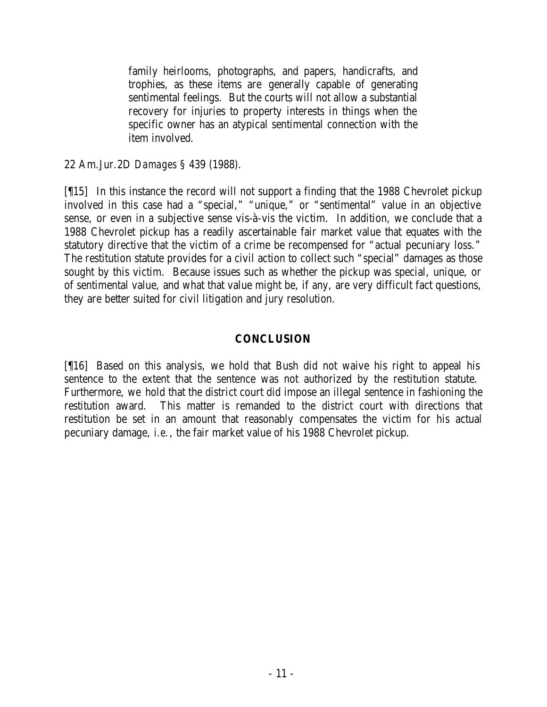family heirlooms, photographs, and papers, handicrafts, and trophies, as these items are generally capable of generating sentimental feelings. But the courts will not allow a substantial recovery for injuries to property interests in things when the specific owner has an atypical sentimental connection with the item involved.

22 Am.Jur.2D *Damages* § 439 (1988).

[¶15] In this instance the record will not support a finding that the 1988 Chevrolet pickup involved in this case had a "special," "unique," or "sentimental" value in an objective sense, or even in a subjective sense vis-à-vis the victim. In addition, we conclude that a 1988 Chevrolet pickup has a readily ascertainable fair market value that equates with the statutory directive that the victim of a crime be recompensed for "actual pecuniary loss." The restitution statute provides for a civil action to collect such "special" damages as those sought by this victim. Because issues such as whether the pickup was special, unique, or of sentimental value, and what that value might be, if any, are very difficult fact questions, they are better suited for civil litigation and jury resolution.

## **CONCLUSION**

[¶16] Based on this analysis, we hold that Bush did not waive his right to appeal his sentence to the extent that the sentence was not authorized by the restitution statute. Furthermore, we hold that the district court did impose an illegal sentence in fashioning the restitution award. This matter is remanded to the district court with directions that restitution be set in an amount that reasonably compensates the victim for his actual pecuniary damage, *i.e.*, the fair market value of his 1988 Chevrolet pickup.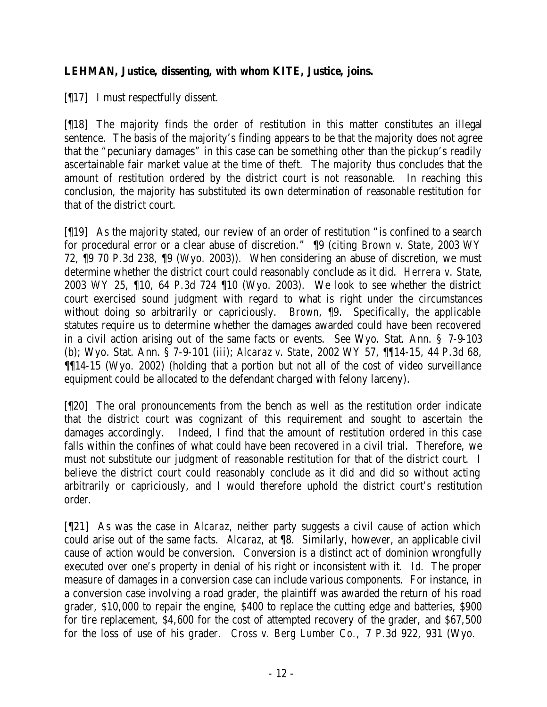# **LEHMAN, Justice, dissenting, with whom KITE, Justice, joins.**

[¶17] I must respectfully dissent.

[¶18] The majority finds the order of restitution in this matter constitutes an illegal sentence. The basis of the majority's finding appears to be that the majority does not agree that the "pecuniary damages" in this case can be something other than the pickup's readily ascertainable fair market value at the time of theft. The majority thus concludes that the amount of restitution ordered by the district court is not reasonable. In reaching this conclusion, the majority has substituted its own determination of reasonable restitution for that of the district court.

[¶19] As the majority stated, our review of an order of restitution "is confined to a search for procedural error or a clear abuse of discretion." ¶9 (citing *Brown v. State*, 2003 WY 72, ¶9 70 P.3d 238, ¶9 (Wyo. 2003)). When considering an abuse of discretion, we must determine whether the district court could reasonably conclude as it did. *Herrera v. State*, 2003 WY 25, ¶10, 64 P.3d 724 ¶10 (Wyo. 2003). We look to see whether the district court exercised sound judgment with regard to what is right under the circumstances without doing so arbitrarily or capriciously. *Brown*, ¶9. Specifically, the applicable statutes require us to determine whether the damages awarded could have been recovered in a civil action arising out of the same facts or events. See Wyo. Stat. Ann. § 7-9-103 (b); Wyo. Stat. Ann. § 7-9-101 (iii); *Alcaraz v. State*, 2002 WY 57, ¶¶14-15, 44 P.3d 68, ¶¶14-15 (Wyo. 2002) (holding that a portion but not all of the cost of video surveillance equipment could be allocated to the defendant charged with felony larceny).

[¶20] The oral pronouncements from the bench as well as the restitution order indicate that the district court was cognizant of this requirement and sought to ascertain the damages accordingly. Indeed, I find that the amount of restitution ordered in this case falls within the confines of what could have been recovered in a civil trial. Therefore, we must not substitute our judgment of reasonable restitution for that of the district court. I believe the district court could reasonably conclude as it did and did so without acting arbitrarily or capriciously, and I would therefore uphold the district court's restitution order.

[¶21] As was the case in *Alcaraz*, neither party suggests a civil cause of action which could arise out of the same facts. *Alcaraz*, at ¶8. Similarly, however, an applicable civil cause of action would be conversion. Conversion is a distinct act of dominion wrongfully executed over one's property in denial of his right or inconsistent with it. *Id*. The proper measure of damages in a conversion case can include various components. For instance, in a conversion case involving a road grader, the plaintiff was awarded the return of his road grader, \$10,000 to repair the engine, \$400 to replace the cutting edge and batteries, \$900 for tire replacement, \$4,600 for the cost of attempted recovery of the grader, and \$67,500 for the loss of use of his grader. *Cross v. Berg Lumber Co.,* 7 P.3d 922, 931 (Wyo.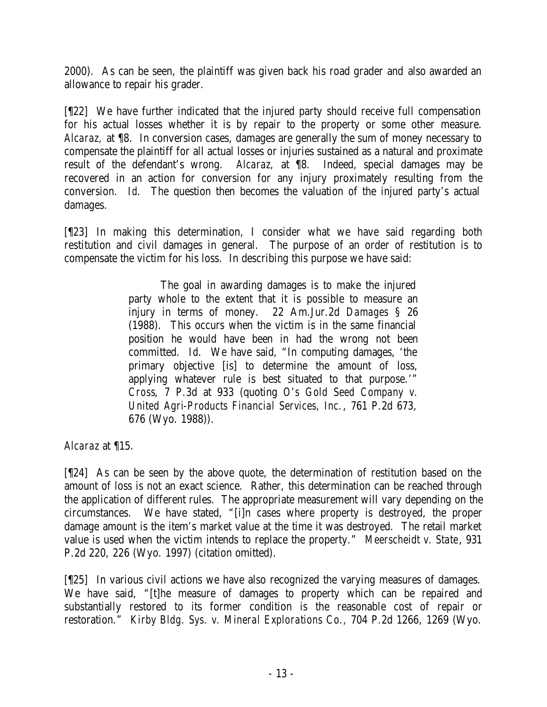2000). As can be seen, the plaintiff was given back his road grader and also awarded an allowance to repair his grader.

[¶22] We have further indicated that the injured party should receive full compensation for his actual losses whether it is by repair to the property or some other measure. *Alcaraz,* at ¶8. In conversion cases, damages are generally the sum of money necessary to compensate the plaintiff for all actual losses or injuries sustained as a natural and proximate result of the defendant's wrong. *Alcaraz,* at ¶8. Indeed, special damages may be recovered in an action for conversion for any injury proximately resulting from the conversion. *Id*. The question then becomes the valuation of the injured party's actual damages.

[¶23] In making this determination, I consider what we have said regarding both restitution and civil damages in general. The purpose of an order of restitution is to compensate the victim for his loss. In describing this purpose we have said:

> The goal in awarding damages is to make the injured party whole to the extent that it is possible to measure an injury in terms of money. 22 Am.Jur.2d *Damages* § 26 (1988). This occurs when the victim is in the same financial position he would have been in had the wrong not been committed. *Id*. We have said, "In computing damages, 'the primary objective [is] to determine the amount of loss, applying whatever rule is best situated to that purpose.'" *Cross*, 7 P.3d at 933 (quoting *O's Gold Seed Company v. United Agri-Products Financial Services, Inc.*, 761 P.2d 673, 676 (Wyo. 1988)).

*Alcaraz* at ¶15.

[¶24] As can be seen by the above quote, the determination of restitution based on the amount of loss is not an exact science. Rather, this determination can be reached through the application of different rules. The appropriate measurement will vary depending on the circumstances. We have stated, "[i]n cases where property is destroyed, the proper damage amount is the item's market value at the time it was destroyed. The retail market value is used when the victim intends to replace the property." *Meerscheidt v. State*, 931 P.2d 220, 226 (Wyo. 1997) (citation omitted).

[¶25] In various civil actions we have also recognized the varying measures of damages. We have said, "[t]he measure of damages to property which can be repaired and substantially restored to its former condition is the reasonable cost of repair or restoration." *Kirby Bldg. Sys. v. Mineral Explorations Co.,* 704 P.2d 1266, 1269 (Wyo.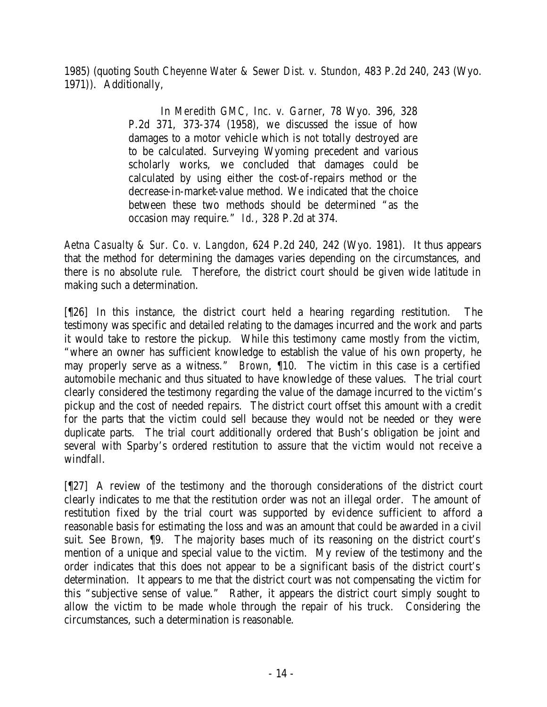1985) (quoting *South Cheyenne Water & Sewer Dist. v. Stundon*, 483 P.2d 240, 243 (Wyo. 1971)). Additionally,

> In *Meredith GMC, Inc. v. Garner*, 78 Wyo. 396, 328 P.2d 371, 373-374 (1958), we discussed the issue of how damages to a motor vehicle which is not totally destroyed are to be calculated. Surveying Wyoming precedent and various scholarly works, we concluded that damages could be calculated by using either the cost-of-repairs method or the decrease-in-market-value method. We indicated that the choice between these two methods should be determined "as the occasion may require." *Id*., 328 P.2d at 374.

*Aetna Casualty & Sur. Co. v. Langdon*, 624 P.2d 240, 242 (Wyo. 1981). It thus appears that the method for determining the damages varies depending on the circumstances, and there is no absolute rule. Therefore, the district court should be given wide latitude in making such a determination.

[¶26] In this instance, the district court held a hearing regarding restitution. The testimony was specific and detailed relating to the damages incurred and the work and parts it would take to restore the pickup. While this testimony came mostly from the victim, "where an owner has sufficient knowledge to establish the value of his own property, he may properly serve as a witness." *Brown*, ¶10. The victim in this case is a certified automobile mechanic and thus situated to have knowledge of these values. The trial court clearly considered the testimony regarding the value of the damage incurred to the victim's pickup and the cost of needed repairs. The district court offset this amount with a credit for the parts that the victim could sell because they would not be needed or they were duplicate parts. The trial court additionally ordered that Bush's obligation be joint and several with Sparby's ordered restitution to assure that the victim would not receive a windfall.

[¶27] A review of the testimony and the thorough considerations of the district court clearly indicates to me that the restitution order was not an illegal order. The amount of restitution fixed by the trial court was supported by evidence sufficient to afford a reasonable basis for estimating the loss and was an amount that could be awarded in a civil suit. See *Brown,* ¶9. The majority bases much of its reasoning on the district court's mention of a unique and special value to the victim. My review of the testimony and the order indicates that this does not appear to be a significant basis of the district court's determination. It appears to me that the district court was not compensating the victim for this "subjective sense of value." Rather, it appears the district court simply sought to allow the victim to be made whole through the repair of his truck. Considering the circumstances, such a determination is reasonable.